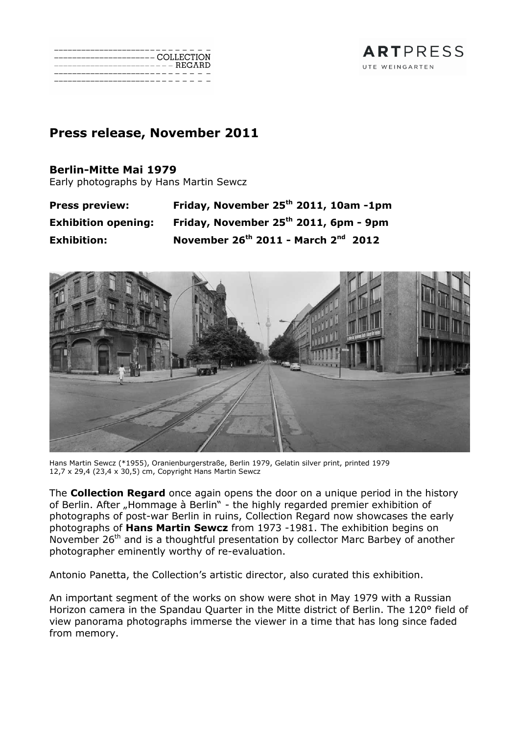



## **Press release, November 2011**

## **Berlin-Mitte Mai 1979**

Early photographs by Hans Martin Sewcz

| <b>Press preview:</b>      | Friday, November 25th 2011, 10am -1pm             |
|----------------------------|---------------------------------------------------|
| <b>Exhibition opening:</b> | Friday, November 25 <sup>th</sup> 2011, 6pm - 9pm |
| <b>Exhibition:</b>         | November $26^{th}$ 2011 - March $2^{nd}$ 2012     |



Hans Martin Sewcz (\*1955), Oranienburgerstraße, Berlin 1979, Gelatin silver print, printed 1979 12,7 x 29,4 (23,4 x 30,5) cm, Copyright Hans Martin Sewcz

The **Collection Regard** once again opens the door on a unique period in the history of Berlin. After "Hommage à Berlin" - the highly regarded premier exhibition of photographs of post-war Berlin in ruins, Collection Regard now showcases the early photographs of **Hans Martin Sewcz** from 1973 -1981. The exhibition begins on November 26<sup>th</sup> and is a thoughtful presentation by collector Marc Barbey of another photographer eminently worthy of re-evaluation.

Antonio Panetta, the Collection's artistic director, also curated this exhibition.

An important segment of the works on show were shot in May 1979 with a Russian Horizon camera in the Spandau Quarter in the Mitte district of Berlin. The 120° field of view panorama photographs immerse the viewer in a time that has long since faded from memory.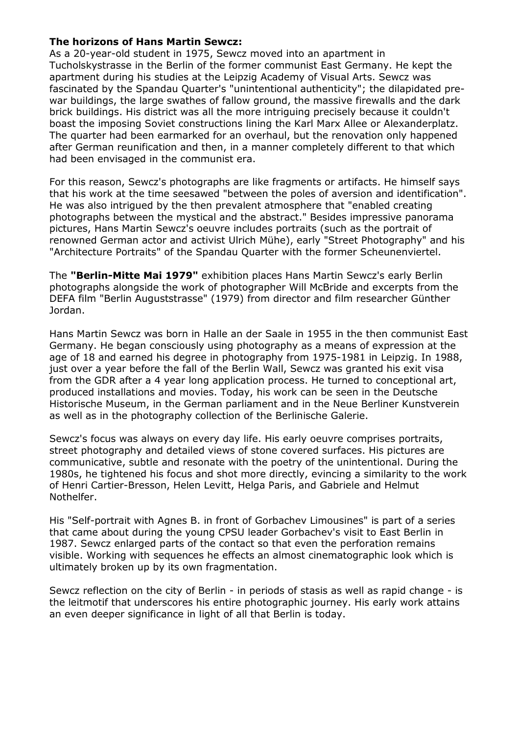## **The horizons of Hans Martin Sewcz:**

As a 20-year-old student in 1975, Sewcz moved into an apartment in Tucholskystrasse in the Berlin of the former communist East Germany. He kept the apartment during his studies at the Leipzig Academy of Visual Arts. Sewcz was fascinated by the Spandau Quarter's "unintentional authenticity"; the dilapidated prewar buildings, the large swathes of fallow ground, the massive firewalls and the dark brick buildings. His district was all the more intriguing precisely because it couldn't boast the imposing Soviet constructions lining the Karl Marx Allee or Alexanderplatz. The quarter had been earmarked for an overhaul, but the renovation only happened after German reunification and then, in a manner completely different to that which had been envisaged in the communist era.

For this reason, Sewcz's photographs are like fragments or artifacts. He himself says that his work at the time seesawed "between the poles of aversion and identification". He was also intrigued by the then prevalent atmosphere that "enabled creating photographs between the mystical and the abstract." Besides impressive panorama pictures, Hans Martin Sewcz's oeuvre includes portraits (such as the portrait of renowned German actor and activist Ulrich Mühe), early "Street Photography" and his "Architecture Portraits" of the Spandau Quarter with the former Scheunenviertel.

The **"Berlin-Mitte Mai 1979"** exhibition places Hans Martin Sewcz's early Berlin photographs alongside the work of photographer Will McBride and excerpts from the DEFA film "Berlin Auguststrasse" (1979) from director and film researcher Günther Jordan.

Hans Martin Sewcz was born in Halle an der Saale in 1955 in the then communist East Germany. He began consciously using photography as a means of expression at the age of 18 and earned his degree in photography from 1975-1981 in Leipzig. In 1988, just over a year before the fall of the Berlin Wall, Sewcz was granted his exit visa from the GDR after a 4 year long application process. He turned to conceptional art, produced installations and movies. Today, his work can be seen in the Deutsche Historische Museum, in the German parliament and in the Neue Berliner Kunstverein as well as in the photography collection of the Berlinische Galerie.

Sewcz's focus was always on every day life. His early oeuvre comprises portraits, street photography and detailed views of stone covered surfaces. His pictures are communicative, subtle and resonate with the poetry of the unintentional. During the 1980s, he tightened his focus and shot more directly, evincing a similarity to the work of Henri Cartier-Bresson, Helen Levitt, Helga Paris, and Gabriele and Helmut Nothelfer.

His "Self-portrait with Agnes B. in front of Gorbachev Limousines" is part of a series that came about during the young CPSU leader Gorbachev's visit to East Berlin in 1987. Sewcz enlarged parts of the contact so that even the perforation remains visible. Working with sequences he effects an almost cinematographic look which is ultimately broken up by its own fragmentation.

Sewcz reflection on the city of Berlin - in periods of stasis as well as rapid change - is the leitmotif that underscores his entire photographic journey. His early work attains an even deeper significance in light of all that Berlin is today.